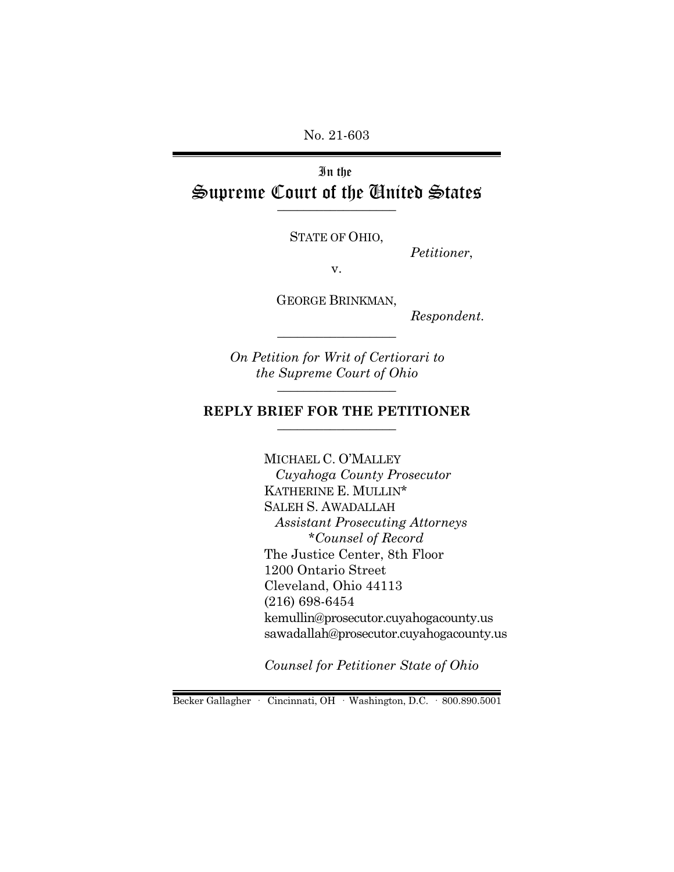No. 21-603

# In the Supreme Court of the United States  $\overline{\phantom{a}}$  , where  $\overline{\phantom{a}}$

STATE OF OHIO,

*Petitioner*,

v.

GEORGE BRINKMAN,

\_\_\_\_\_\_\_\_\_\_\_\_\_\_\_\_\_\_

*Respondent.*

*On Petition for Writ of Certiorari to the Supreme Court of Ohio* \_\_\_\_\_\_\_\_\_\_\_\_\_\_\_\_\_\_

#### **REPLY BRIEF FOR THE PETITIONER** \_\_\_\_\_\_\_\_\_\_\_\_\_\_\_\_\_\_

MICHAEL C. O'MALLEY  *Cuyahoga County Prosecutor* KATHERINE E. MULLIN\* SALEH S. AWADALLAH  *Assistant Prosecuting Attorneys \*Counsel of Record*  The Justice Center, 8th Floor 1200 Ontario Street Cleveland, Ohio 44113 (216) 698-6454 kemullin@prosecutor.cuyahogacounty.us sawadallah@prosecutor.cuyahogacounty.us

*Counsel for Petitioner State of Ohio*

Becker Gallagher · Cincinnati, OH · Washington, D.C. · 800.890.5001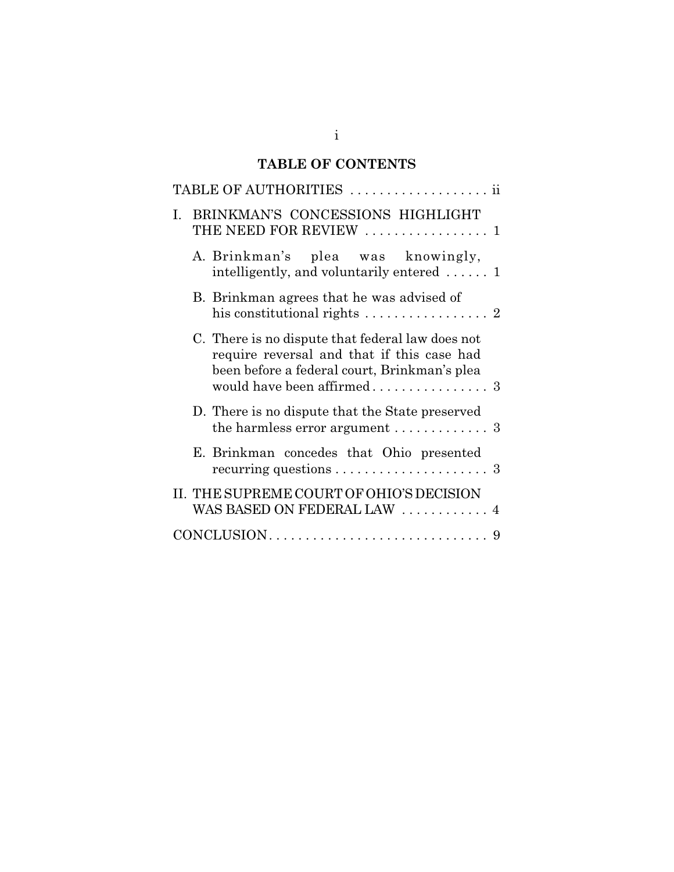# **TABLE OF CONTENTS**

|                                                               | TABLE OF AUTHORITIES  ii                                                                                                                       |  |  |  |  |  |  |  |  |  |  |  |
|---------------------------------------------------------------|------------------------------------------------------------------------------------------------------------------------------------------------|--|--|--|--|--|--|--|--|--|--|--|
| I. BRINKMAN'S CONCESSIONS HIGHLIGHT<br>THE NEED FOR REVIEW  1 |                                                                                                                                                |  |  |  |  |  |  |  |  |  |  |  |
|                                                               | A. Brinkman's plea was knowingly,<br>intelligently, and voluntarily entered $\ldots$ .                                                         |  |  |  |  |  |  |  |  |  |  |  |
|                                                               | B. Brinkman agrees that he was advised of<br>his constitutional rights $\ldots \ldots \ldots \ldots \ldots$ 2                                  |  |  |  |  |  |  |  |  |  |  |  |
|                                                               | C. There is no dispute that federal law does not<br>require reversal and that if this case had<br>been before a federal court, Brinkman's plea |  |  |  |  |  |  |  |  |  |  |  |
|                                                               | D. There is no dispute that the State preserved<br>the harmless error argument $\ldots \ldots \ldots$ 3                                        |  |  |  |  |  |  |  |  |  |  |  |
|                                                               | E. Brinkman concedes that Ohio presented                                                                                                       |  |  |  |  |  |  |  |  |  |  |  |
|                                                               | II. THE SUPREME COURT OF OHIO'S DECISION<br>WAS BASED ON FEDERAL LAW  4                                                                        |  |  |  |  |  |  |  |  |  |  |  |
|                                                               |                                                                                                                                                |  |  |  |  |  |  |  |  |  |  |  |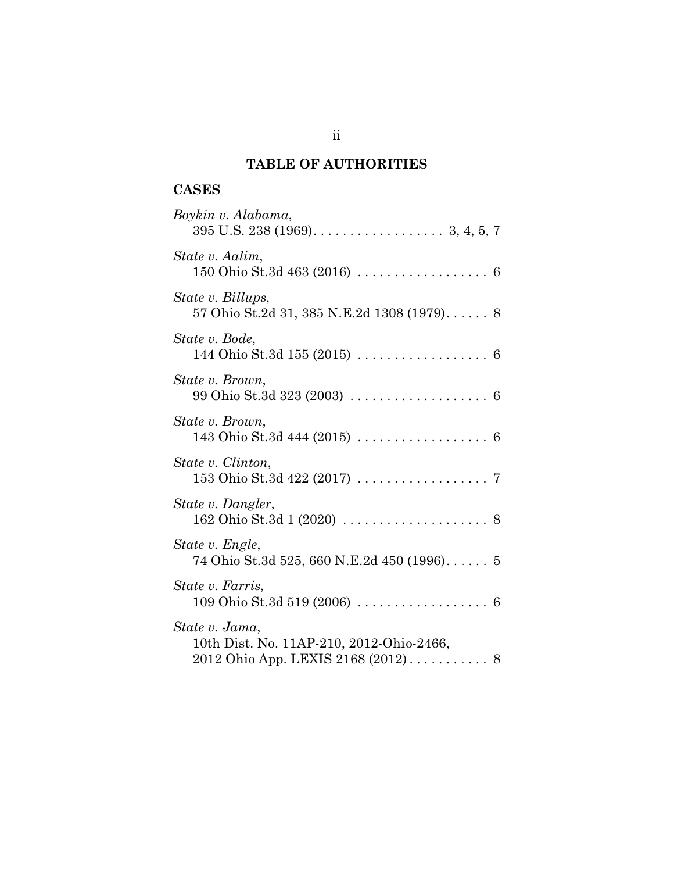# **TABLE OF AUTHORITIES**

# **CASES**

| Boykin v. Alabama,                                                                          |
|---------------------------------------------------------------------------------------------|
| State v. Aalim,<br>150 Ohio St.3d 463 (2016) $\ldots \ldots \ldots \ldots \ldots \ldots$ 6  |
| State v. Billups,<br>57 Ohio St.2d 31, 385 N.E.2d 1308 (1979) 8                             |
| State v. Bode,                                                                              |
| State v. Brown,                                                                             |
| State v. Brown,<br>143 Ohio St.3d 444 (2015) $\ldots \ldots \ldots \ldots \ldots \ldots$ 6  |
| State v. Clinton,                                                                           |
| State v. Dangler,                                                                           |
| State v. Engle,<br>74 Ohio St.3d 525, 660 N.E.2d 450 (1996) 5                               |
| State v. Farris,<br>109 Ohio St.3d 519 (2006) $\ldots \ldots \ldots \ldots \ldots \ldots$ 6 |
| State v. Jama,<br>10th Dist. No. 11AP-210, 2012-Ohio-2466,                                  |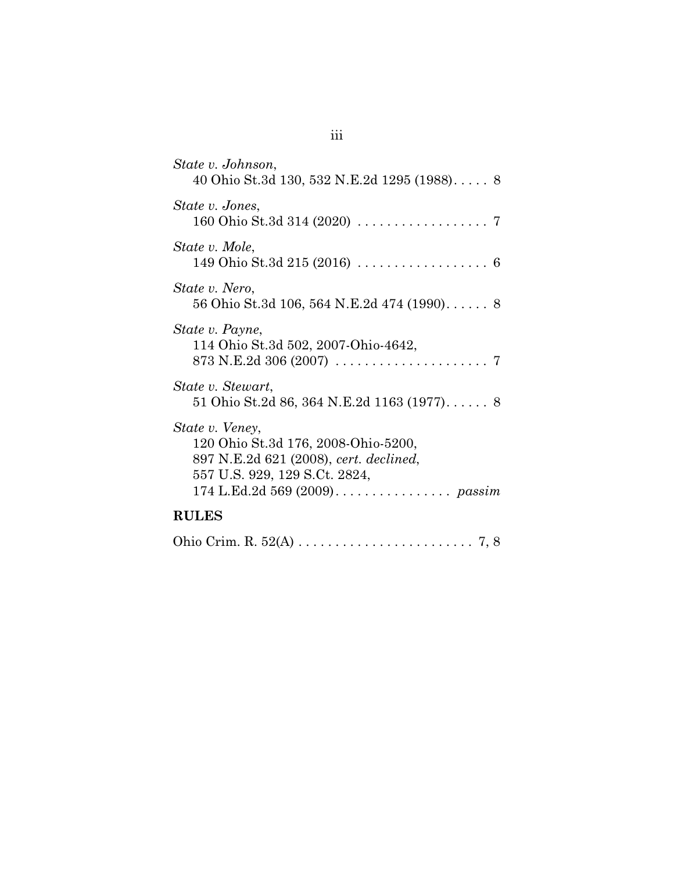| State v. Johnson,<br>40 Ohio St.3d 130, 532 N.E.2d 1295 (1988) 8                                                                   |
|------------------------------------------------------------------------------------------------------------------------------------|
| State v. Jones,                                                                                                                    |
| State v. Mole,<br>149 Ohio St.3d 215 (2016) $\ldots \ldots \ldots \ldots \ldots \ldots$ 6                                          |
| State v. Nero,<br>56 Ohio St.3d 106, 564 N.E.2d 474 (1990) 8                                                                       |
| State v. Payne,<br>114 Ohio St.3d 502, 2007-Ohio-4642,<br>873 N.E.2d 306 (2007) $\ldots \ldots \ldots \ldots \ldots \ldots \ldots$ |
| State v. Stewart,<br>51 Ohio St.2d 86, 364 N.E.2d 1163 (1977) 8                                                                    |
| State v. Veney,<br>120 Ohio St.3d 176, 2008-Ohio-5200,<br>897 N.E.2d 621 (2008), cert. declined,<br>557 U.S. 929, 129 S.Ct. 2824,  |
| <b>RULES</b>                                                                                                                       |

|--|--|--|--|--|--|--|--|--|--|--|--|--|--|--|--|--|--|--|--|--|--|--|--|--|--|--|--|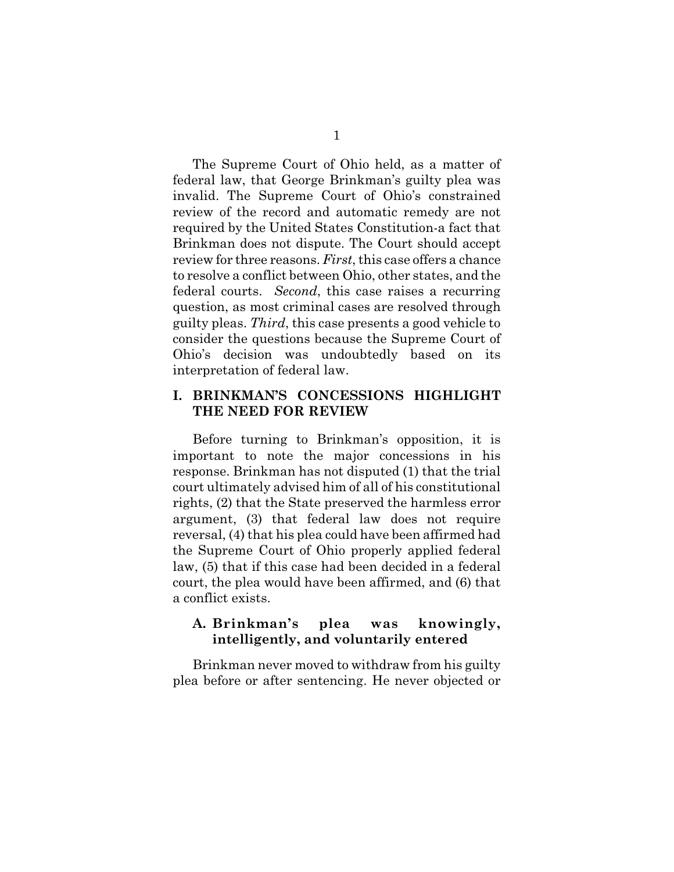The Supreme Court of Ohio held, as a matter of federal law, that George Brinkman's guilty plea was invalid. The Supreme Court of Ohio's constrained review of the record and automatic remedy are not required by the United States Constitution-a fact that Brinkman does not dispute. The Court should accept review for three reasons. *First*, this case offers a chance to resolve a conflict between Ohio, other states, and the federal courts. *Second*, this case raises a recurring question, as most criminal cases are resolved through guilty pleas. *Third*, this case presents a good vehicle to consider the questions because the Supreme Court of Ohio's decision was undoubtedly based on its interpretation of federal law.

### **I. BRINKMAN'S CONCESSIONS HIGHLIGHT THE NEED FOR REVIEW**

Before turning to Brinkman's opposition, it is important to note the major concessions in his response. Brinkman has not disputed (1) that the trial court ultimately advised him of all of his constitutional rights, (2) that the State preserved the harmless error argument, (3) that federal law does not require reversal, (4) that his plea could have been affirmed had the Supreme Court of Ohio properly applied federal law, (5) that if this case had been decided in a federal court, the plea would have been affirmed, and (6) that a conflict exists.

## **A. Brinkman's plea was knowingly, intelligently, and voluntarily entered**

Brinkman never moved to withdraw from his guilty plea before or after sentencing. He never objected or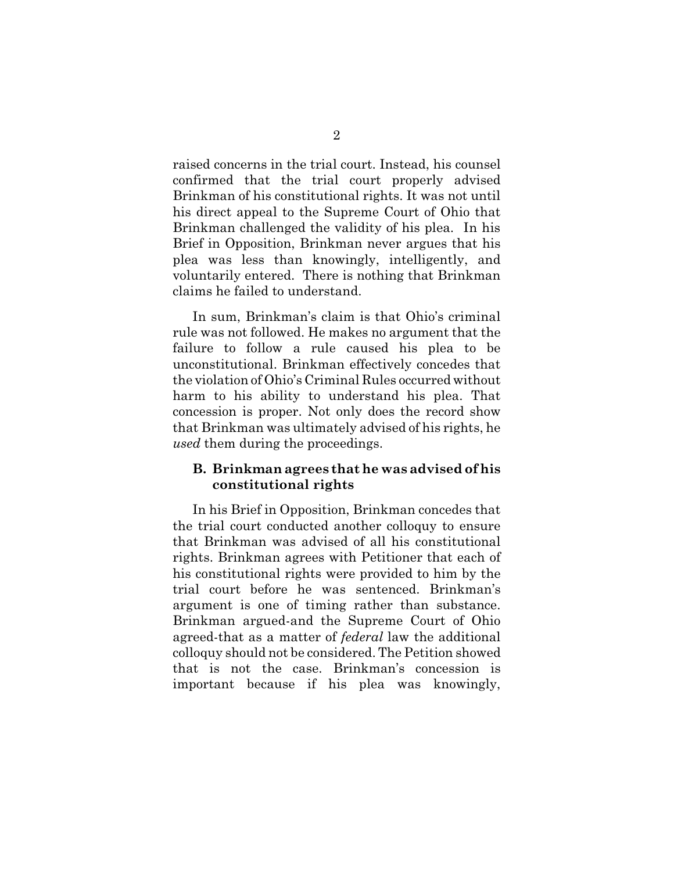raised concerns in the trial court. Instead, his counsel confirmed that the trial court properly advised Brinkman of his constitutional rights. It was not until his direct appeal to the Supreme Court of Ohio that Brinkman challenged the validity of his plea. In his Brief in Opposition, Brinkman never argues that his plea was less than knowingly, intelligently, and voluntarily entered. There is nothing that Brinkman claims he failed to understand.

In sum, Brinkman's claim is that Ohio's criminal rule was not followed. He makes no argument that the failure to follow a rule caused his plea to be unconstitutional. Brinkman effectively concedes that the violation of Ohio's Criminal Rules occurred without harm to his ability to understand his plea. That concession is proper. Not only does the record show that Brinkman was ultimately advised of his rights, he *used* them during the proceedings.

### **B. Brinkman agrees that he was advised of his constitutional rights**

In his Brief in Opposition, Brinkman concedes that the trial court conducted another colloquy to ensure that Brinkman was advised of all his constitutional rights. Brinkman agrees with Petitioner that each of his constitutional rights were provided to him by the trial court before he was sentenced. Brinkman's argument is one of timing rather than substance. Brinkman argued-and the Supreme Court of Ohio agreed-that as a matter of *federal* law the additional colloquy should not be considered. The Petition showed that is not the case. Brinkman's concession is important because if his plea was knowingly,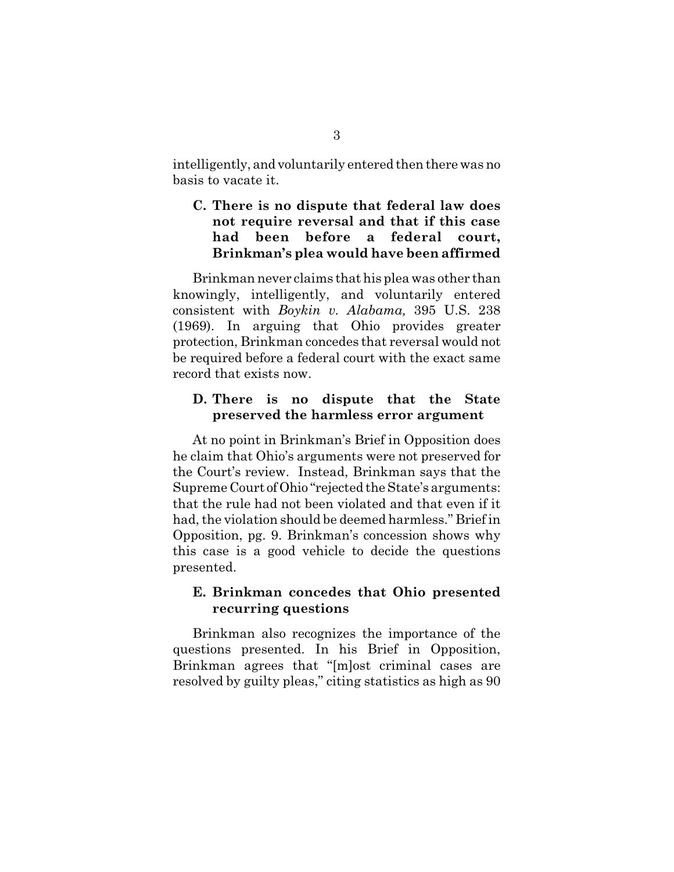intelligently, and voluntarily entered then there was no basis to vacate it.

# **C. There is no dispute that federal law does not require reversal and that if this case had been before a federal court, Brinkman's plea would have been affirmed**

Brinkman never claims that his plea was other than knowingly, intelligently, and voluntarily entered consistent with *Boykin v. Alabama,* 395 U.S. 238 (1969). In arguing that Ohio provides greater protection, Brinkman concedes that reversal would not be required before a federal court with the exact same record that exists now.

### **D. There is no dispute that the State preserved the harmless error argument**

At no point in Brinkman's Brief in Opposition does he claim that Ohio's arguments were not preserved for the Court's review. Instead, Brinkman says that the Supreme Court of Ohio "rejected the State's arguments: that the rule had not been violated and that even if it had, the violation should be deemed harmless." Brief in Opposition, pg. 9. Brinkman's concession shows why this case is a good vehicle to decide the questions presented.

## **E. Brinkman concedes that Ohio presented recurring questions**

Brinkman also recognizes the importance of the questions presented. In his Brief in Opposition, Brinkman agrees that "[m]ost criminal cases are resolved by guilty pleas," citing statistics as high as 90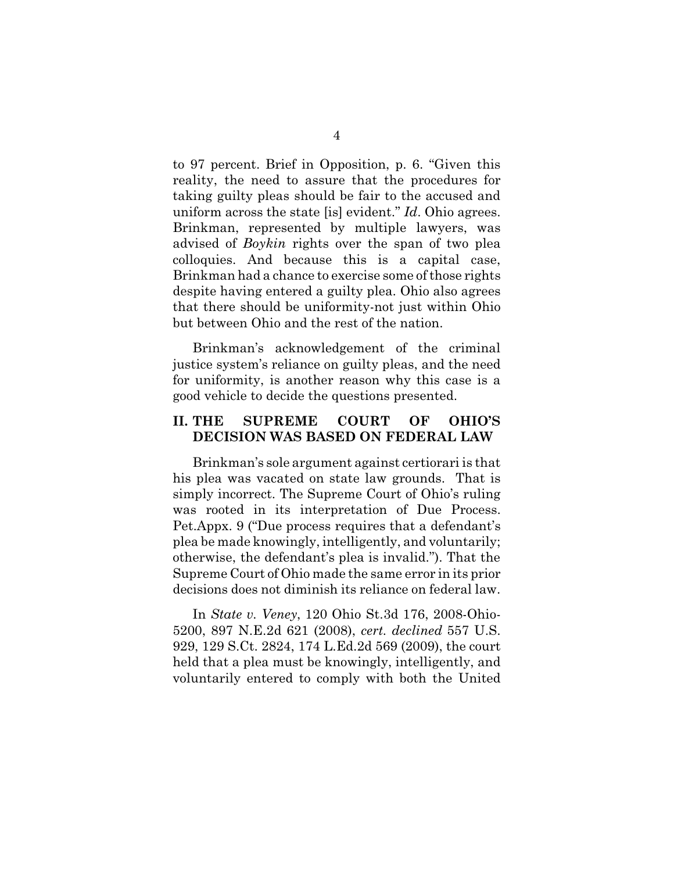to 97 percent. Brief in Opposition, p. 6. "Given this reality, the need to assure that the procedures for taking guilty pleas should be fair to the accused and uniform across the state [is] evident." *Id*. Ohio agrees. Brinkman, represented by multiple lawyers, was advised of *Boykin* rights over the span of two plea colloquies. And because this is a capital case, Brinkman had a chance to exercise some of those rights despite having entered a guilty plea. Ohio also agrees that there should be uniformity-not just within Ohio but between Ohio and the rest of the nation.

Brinkman's acknowledgement of the criminal justice system's reliance on guilty pleas, and the need for uniformity, is another reason why this case is a good vehicle to decide the questions presented.

#### **II. THE SUPREME COURT OF OHIO'S DECISION WAS BASED ON FEDERAL LAW**

Brinkman's sole argument against certiorari is that his plea was vacated on state law grounds. That is simply incorrect. The Supreme Court of Ohio's ruling was rooted in its interpretation of Due Process. Pet.Appx. 9 ("Due process requires that a defendant's plea be made knowingly, intelligently, and voluntarily; otherwise, the defendant's plea is invalid."). That the Supreme Court of Ohio made the same error in its prior decisions does not diminish its reliance on federal law.

In *State v. Veney*, 120 Ohio St.3d 176, 2008-Ohio-5200, 897 N.E.2d 621 (2008), *cert. declined* 557 U.S. 929, 129 S.Ct. 2824, 174 L.Ed.2d 569 (2009), the court held that a plea must be knowingly, intelligently, and voluntarily entered to comply with both the United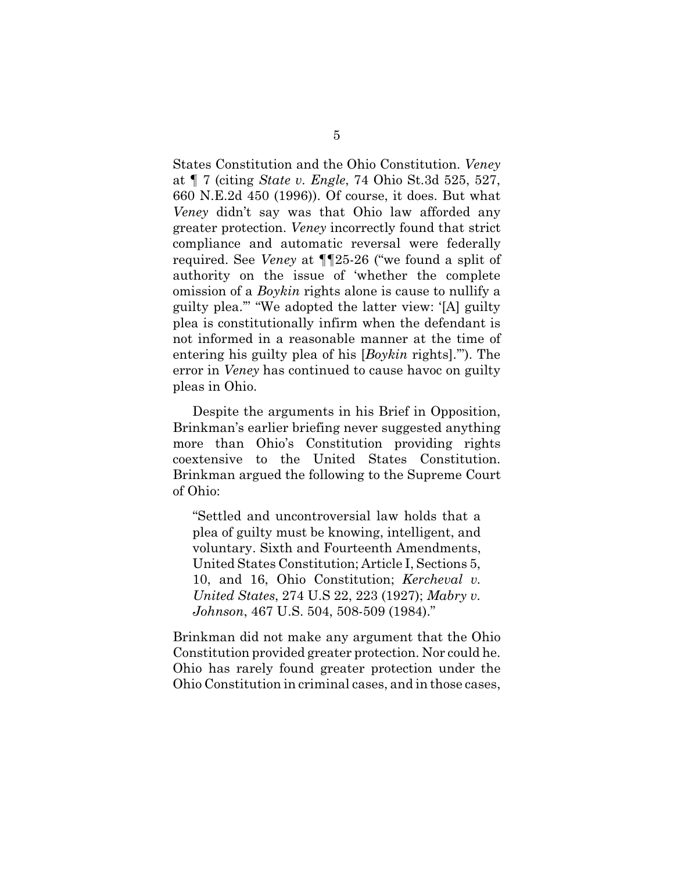States Constitution and the Ohio Constitution. *Veney* at ¶ 7 (citing *State v. Engle*, 74 Ohio St.3d 525, 527, 660 N.E.2d 450 (1996)). Of course, it does. But what *Veney* didn't say was that Ohio law afforded any greater protection. *Veney* incorrectly found that strict compliance and automatic reversal were federally required. See *Veney* at ¶¶25-26 ("we found a split of authority on the issue of 'whether the complete omission of a *Boykin* rights alone is cause to nullify a guilty plea.'" "We adopted the latter view: '[A] guilty plea is constitutionally infirm when the defendant is not informed in a reasonable manner at the time of entering his guilty plea of his [*Boykin* rights].'"). The error in *Veney* has continued to cause havoc on guilty pleas in Ohio.

Despite the arguments in his Brief in Opposition, Brinkman's earlier briefing never suggested anything more than Ohio's Constitution providing rights coextensive to the United States Constitution. Brinkman argued the following to the Supreme Court of Ohio:

"Settled and uncontroversial law holds that a plea of guilty must be knowing, intelligent, and voluntary. Sixth and Fourteenth Amendments, United States Constitution; Article I, Sections 5, 10, and 16, Ohio Constitution; *Kercheval v. United States*, 274 U.S 22, 223 (1927); *Mabry v. Johnson*, 467 U.S. 504, 508-509 (1984)."

Brinkman did not make any argument that the Ohio Constitution provided greater protection. Nor could he. Ohio has rarely found greater protection under the Ohio Constitution in criminal cases, and in those cases,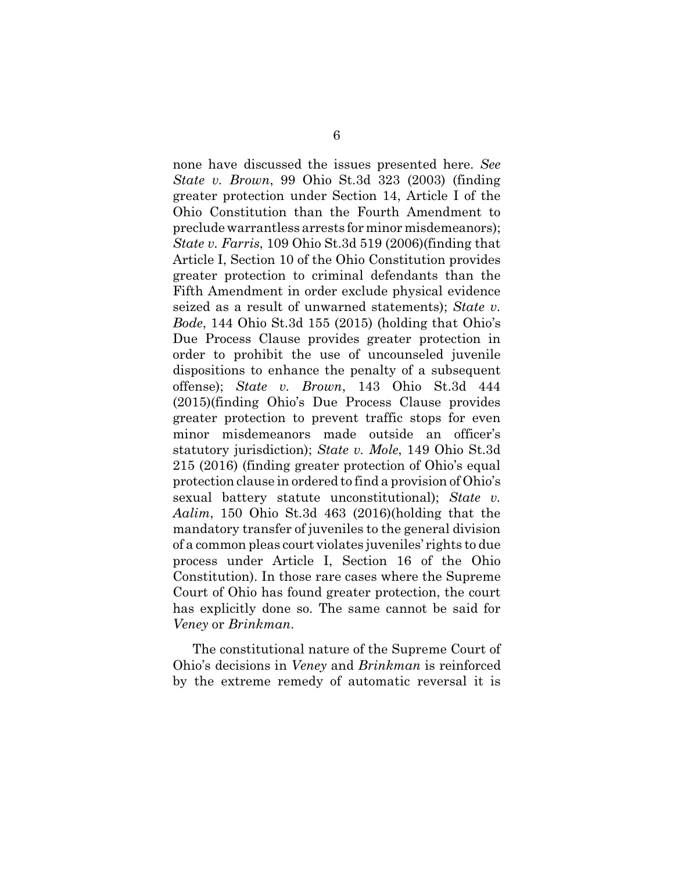none have discussed the issues presented here. *See State v. Brown*, 99 Ohio St.3d 323 (2003) (finding greater protection under Section 14, Article I of the Ohio Constitution than the Fourth Amendment to preclude warrantless arrests for minor misdemeanors); *State v. Farris*, 109 Ohio St.3d 519 (2006)(finding that Article I, Section 10 of the Ohio Constitution provides greater protection to criminal defendants than the Fifth Amendment in order exclude physical evidence seized as a result of unwarned statements); *State v. Bode*, 144 Ohio St.3d 155 (2015) (holding that Ohio's Due Process Clause provides greater protection in order to prohibit the use of uncounseled juvenile dispositions to enhance the penalty of a subsequent offense); *State v. Brown*, 143 Ohio St.3d 444 (2015)(finding Ohio's Due Process Clause provides greater protection to prevent traffic stops for even minor misdemeanors made outside an officer's statutory jurisdiction); *State v. Mole*, 149 Ohio St.3d 215 (2016) (finding greater protection of Ohio's equal protection clause in ordered to find a provision of Ohio's sexual battery statute unconstitutional); *State v. Aalim*, 150 Ohio St.3d 463 (2016)(holding that the mandatory transfer of juveniles to the general division of a common pleas court violates juveniles' rights to due process under Article I, Section 16 of the Ohio Constitution). In those rare cases where the Supreme Court of Ohio has found greater protection, the court has explicitly done so. The same cannot be said for *Veney* or *Brinkman*.

The constitutional nature of the Supreme Court of Ohio's decisions in *Veney* and *Brinkman* is reinforced by the extreme remedy of automatic reversal it is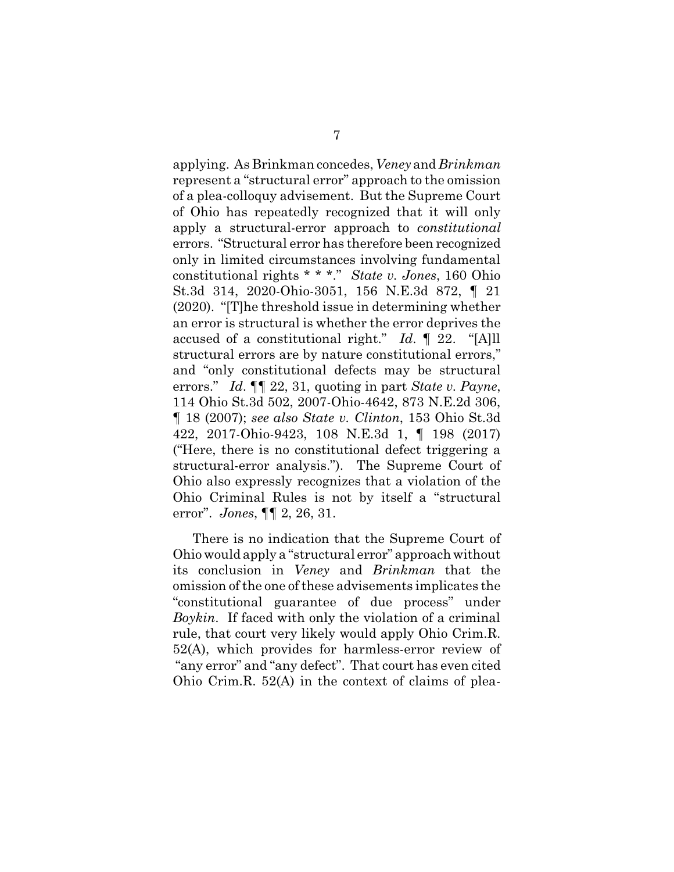applying. As Brinkman concedes, *Veney* and *Brinkman* represent a "structural error" approach to the omission of a plea-colloquy advisement. But the Supreme Court of Ohio has repeatedly recognized that it will only apply a structural-error approach to *constitutional* errors. "Structural error has therefore been recognized only in limited circumstances involving fundamental constitutional rights \* \* \*." *State v. Jones*, 160 Ohio St.3d 314, 2020-Ohio-3051, 156 N.E.3d 872, ¶ 21 (2020). "[T]he threshold issue in determining whether an error is structural is whether the error deprives the accused of a constitutional right." *Id*. ¶ 22. "[A]ll structural errors are by nature constitutional errors," and "only constitutional defects may be structural errors." *Id*. ¶¶ 22, 31, quoting in part *State v. Payne*, 114 Ohio St.3d 502, 2007-Ohio-4642, 873 N.E.2d 306, ¶ 18 (2007); *see also State v. Clinton*, 153 Ohio St.3d 422, 2017-Ohio-9423, 108 N.E.3d 1, ¶ 198 (2017) ("Here, there is no constitutional defect triggering a structural-error analysis."). The Supreme Court of Ohio also expressly recognizes that a violation of the Ohio Criminal Rules is not by itself a "structural error". *Jones*, ¶¶ 2, 26, 31.

There is no indication that the Supreme Court of Ohio would apply a "structural error" approach without its conclusion in *Veney* and *Brinkman* that the omission of the one of these advisements implicates the "constitutional guarantee of due process" under *Boykin*. If faced with only the violation of a criminal rule, that court very likely would apply Ohio Crim.R. 52(A), which provides for harmless-error review of "any error" and "any defect". That court has even cited Ohio Crim.R. 52(A) in the context of claims of plea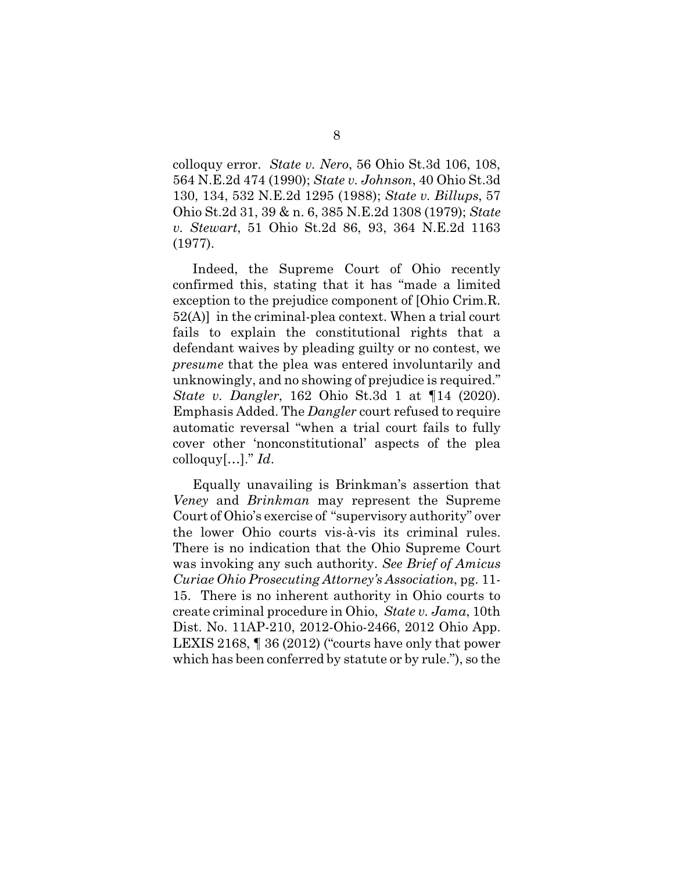colloquy error. *State v. Nero*, 56 Ohio St.3d 106, 108, 564 N.E.2d 474 (1990); *State v. Johnson*, 40 Ohio St.3d 130, 134, 532 N.E.2d 1295 (1988); *State v. Billups*, 57 Ohio St.2d 31, 39 & n. 6, 385 N.E.2d 1308 (1979); *State v. Stewart*, 51 Ohio St.2d 86, 93, 364 N.E.2d 1163 (1977).

Indeed, the Supreme Court of Ohio recently confirmed this, stating that it has "made a limited exception to the prejudice component of [Ohio Crim.R. 52(A)] in the criminal-plea context. When a trial court fails to explain the constitutional rights that a defendant waives by pleading guilty or no contest, we *presume* that the plea was entered involuntarily and unknowingly, and no showing of prejudice is required." *State v. Dangler*, 162 Ohio St.3d 1 at ¶14 (2020). Emphasis Added. The *Dangler* court refused to require automatic reversal "when a trial court fails to fully cover other 'nonconstitutional' aspects of the plea colloquy[…]." *Id*.

Equally unavailing is Brinkman's assertion that *Veney* and *Brinkman* may represent the Supreme Court of Ohio's exercise of "supervisory authority" over the lower Ohio courts vis-à-vis its criminal rules. There is no indication that the Ohio Supreme Court was invoking any such authority. *See Brief of Amicus Curiae Ohio Prosecuting Attorney's Association*, pg. 11- 15. There is no inherent authority in Ohio courts to create criminal procedure in Ohio, *State v. Jama*, 10th Dist. No. 11AP-210, 2012-Ohio-2466, 2012 Ohio App. LEXIS 2168, ¶ 36 (2012) ("courts have only that power which has been conferred by statute or by rule."), so the